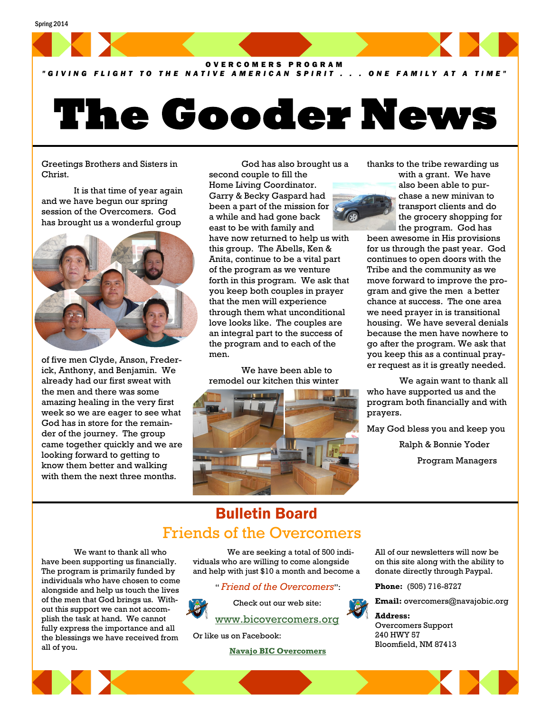

*" G I V I N G F L I G H T T O T H E N A T I V E A M E R I C A N S P I R I T . . . O N E F A M I L Y A T A T I M E "*

# **The Gooder News**

Greetings Brothers and Sisters in Christ.

It is that time of year again and we have begun our spring session of the Overcomers. God has brought us a wonderful group



of five men Clyde, Anson, Frederick, Anthony, and Benjamin. We already had our first sweat with the men and there was some amazing healing in the very first week so we are eager to see what God has in store for the remainder of the journey. The group came together quickly and we are looking forward to getting to know them better and walking with them the next three months.

God has also brought us a second couple to fill the

Home Living Coordinator. Garry & Becky Gaspard had been a part of the mission for a while and had gone back east to be with family and have now returned to help us with this group. The Abells, Ken & Anita, continue to be a vital part of the program as we venture forth in this program. We ask that you keep both couples in prayer that the men will experience through them what unconditional love looks like. The couples are an integral part to the success of the program and to each of the men.

We have been able to remodel our kitchen this winter



thanks to the tribe rewarding us

with a grant. We have also been able to purchase a new minivan to transport clients and do the grocery shopping for the program. God has

been awesome in His provisions for us through the past year. God continues to open doors with the Tribe and the community as we move forward to improve the program and give the men a better chance at success. The one area we need prayer in is transitional housing. We have several denials because the men have nowhere to go after the program. We ask that you keep this as a continual prayer request as it is greatly needed.

We again want to thank all who have supported us and the program both financially and with prayers.

May God bless you and keep you

Ralph & Bonnie Yoder

Program Managers

## Bulletin Board Friends of the Overcomers

We want to thank all who have been supporting us financially. The program is primarily funded by individuals who have chosen to come alongside and help us touch the lives of the men that God brings us. Without this support we can not accomplish the task at hand. We cannot fully express the importance and all the blessings we have received from all of you.

We are seeking a total of 500 individuals who are willing to come alongside and help with just \$10 a month and become a

" *Friend of the Overcomers*":



Check out our web site: [www.bicovercomers.org](http://bicovercomers.org/)

Or like us on Facebook:

 **[Navajo BIC Overcomers](https://www.facebook.com/)**

All of our newsletters will now be on this site along with the ability to donate directly through Paypal.

**Phone:** (505) 716-8727

**Email:** overcomers@navajobic.org

**Address:**  Overcomers Support 240 HWY 57 Bloomfield, NM 87413